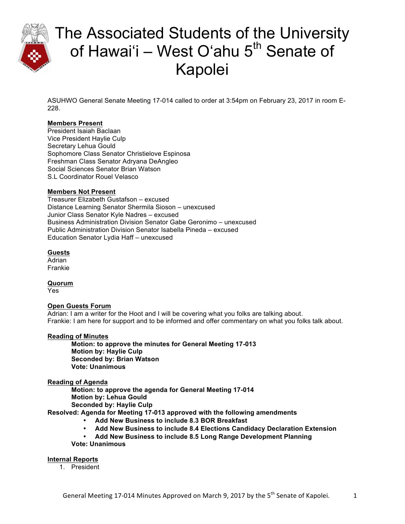

ASUHWO General Senate Meeting 17-014 called to order at 3:54pm on February 23, 2017 in room E-228.

# **Members Present**

President Isaiah Baclaan Vice President Haylie Culp Secretary Lehua Gould Sophomore Class Senator Christielove Espinosa Freshman Class Senator Adryana DeAngleo Social Sciences Senator Brian Watson S.L Coordinator Rouel Velasco

# **Members Not Present**

Treasurer Elizabeth Gustafson – excused Distance Learning Senator Shermila Sioson – unexcused Junior Class Senator Kyle Nadres – excused Business Administration Division Senator Gabe Geronimo – unexcused Public Administration Division Senator Isabella Pineda – excused Education Senator Lydia Haff – unexcused

# **Guests**

Adrian Frankie

**Quorum**

Yes

# **Open Guests Forum**

Adrian: I am a writer for the Hoot and I will be covering what you folks are talking about. Frankie: I am here for support and to be informed and offer commentary on what you folks talk about.

# **Reading of Minutes**

**Motion: to approve the minutes for General Meeting 17-013 Motion by: Haylie Culp Seconded by: Brian Watson Vote: Unanimous**

# **Reading of Agenda**

**Motion: to approve the agenda for General Meeting 17-014 Motion by: Lehua Gould Seconded by: Haylie Culp**

**Resolved: Agenda for Meeting 17-013 approved with the following amendments** 

- **Add New Business to include 8.3 BOR Breakfast**
- **Add New Business to include 8.4 Elections Candidacy Declaration Extension**
- **Add New Business to include 8.5 Long Range Development Planning Vote: Unanimous**

**Internal Reports**

1. President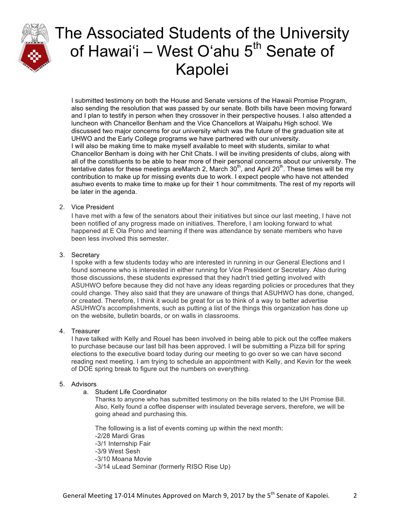

I submitted testimony on both the House and Senate versions of the Hawaii Promise Program, also sending the resolution that was passed by our senate. Both bills have been moving forward and I plan to testify in person when they crossover in their perspective houses. I also attended a luncheon with Chancellor Benham and the Vice Chancellors at Waipahu High school. We discussed two major concerns for our university which was the future of the graduation site at UHWO and the Early College programs we have partnered with our university. I will also be making time to make myself available to meet with students, similar to what Chancellor Benham is doing with her Chit Chats. I will be inviting presidents of clubs, along with all of the constituents to be able to hear more of their personal concerns about our university. The tentative dates for these meetings areMarch 2, March  $30<sup>th</sup>$ , and April  $20<sup>th</sup>$ . These times will be my contribution to make up for missing events due to work. I expect people who have not attended asuhwo events to make time to make up for their 1 hour commitments. The rest of my reports will be later in the agenda.

# 2. Vice President

I have met with a few of the senators about their initiatives but since our last meeting, I have not been notified of any progress made on initiatives. Therefore, I am looking forward to what happened at E Ola Pono and learning if there was attendance by senate members who have been less involved this semester.

### 3. Secretary

I spoke with a few students today who are interested in running in our General Elections and I found someone who is interested in either running for Vice President or Secretary. Also during those discussions, these students expressed that they hadn't tried getting involved with ASUHWO before because they did not have any ideas regarding policies or procedures that they could change. They also said that they are unaware of things that ASUHWO has done, changed, or created. Therefore, I think it would be great for us to think of a way to better advertise ASUHWO's accomplishments, such as putting a list of the things this organization has done up on the website, bulletin boards, or on walls in classrooms.

### 4. Treasurer

I have talked with Kelly and Rouel has been involved in being able to pick out the coffee makers to purchase because our last bill has been approved. I will be submitting a Pizza bill for spring elections to the executive board today during our meeting to go over so we can have second reading next meeting. I am trying to schedule an appointment with Kelly, and Kevin for the week of DOE spring break to figure out the numbers on everything.

#### 5. Advisors

a. Student Life Coordinator

Thanks to anyone who has submitted testimony on the bills related to the UH Promise Bill. Also, Kelly found a coffee dispenser with insulated beverage servers, therefore, we will be going ahead and purchasing this.

The following is a list of events coming up within the next month: -2/28 Mardi Gras -3/1 Internship Fair -3/9 West Sesh -3/10 Moana Movie -3/14 uLead Seminar (formerly RISO Rise Up)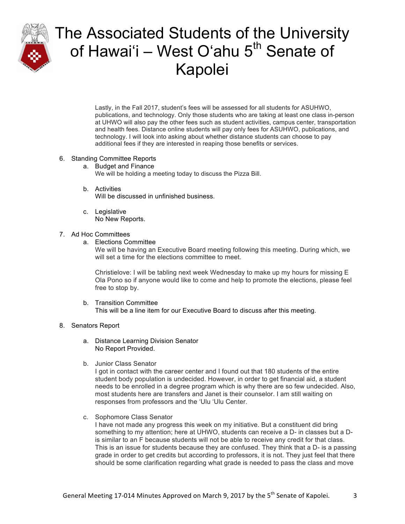

Lastly, in the Fall 2017, student's fees will be assessed for all students for ASUHWO, publications, and technology. Only those students who are taking at least one class in-person at UHWO will also pay the other fees such as student activities, campus center, transportation and health fees. Distance online students will pay only fees for ASUHWO, publications, and technology. I will look into asking about whether distance students can choose to pay additional fees if they are interested in reaping those benefits or services.

### 6. Standing Committee Reports

- a. Budget and Finance We will be holding a meeting today to discuss the Pizza Bill.
- b. Activities Will be discussed in unfinished business.
- c. Legislative No New Reports.

### 7. Ad Hoc Committees

a. Elections Committee

We will be having an Executive Board meeting following this meeting. During which, we will set a time for the elections committee to meet.

Christielove: I will be tabling next week Wednesday to make up my hours for missing E Ola Pono so if anyone would like to come and help to promote the elections, please feel free to stop by.

b. Transition Committee This will be a line item for our Executive Board to discuss after this meeting.

#### 8. Senators Report

- a. Distance Learning Division Senator No Report Provided.
- b. Junior Class Senator

I got in contact with the career center and I found out that 180 students of the entire student body population is undecided. However, in order to get financial aid, a student needs to be enrolled in a degree program which is why there are so few undecided. Also, most students here are transfers and Janet is their counselor. I am still waiting on responses from professors and the ʻUlu ʻUlu Center.

c. Sophomore Class Senator

I have not made any progress this week on my initiative. But a constituent did bring something to my attention; here at UHWO, students can receive a D- in classes but a Dis similar to an F because students will not be able to receive any credit for that class. This is an issue for students because they are confused. They think that a D- is a passing grade in order to get credits but according to professors, it is not. They just feel that there should be some clarification regarding what grade is needed to pass the class and move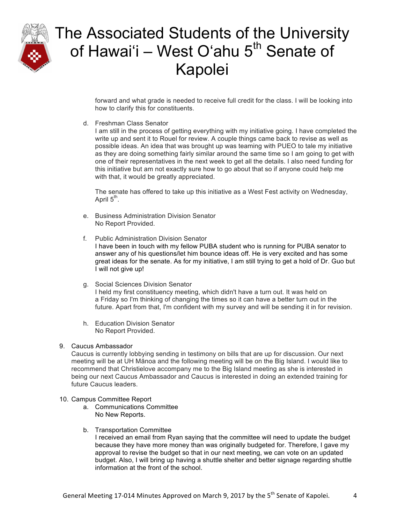

forward and what grade is needed to receive full credit for the class. I will be looking into how to clarify this for constituents.

d. Freshman Class Senator

I am still in the process of getting everything with my initiative going. I have completed the write up and sent it to Rouel for review. A couple things came back to revise as well as possible ideas. An idea that was brought up was teaming with PUEO to tale my initiative as they are doing something fairly similar around the same time so I am going to get with one of their representatives in the next week to get all the details. I also need funding for this initiative but am not exactly sure how to go about that so if anyone could help me with that, it would be greatly appreciated.

The senate has offered to take up this initiative as a West Fest activity on Wednesday, April  $5<sup>th</sup>$ .

- e. Business Administration Division Senator No Report Provided.
- f. Public Administration Division Senator I have been in touch with my fellow PUBA student who is running for PUBA senator to answer any of his questions/let him bounce ideas off. He is very excited and has some great ideas for the senate. As for my initiative, I am still trying to get a hold of Dr. Guo but I will not give up!
- g. Social Sciences Division Senator I held my first constituency meeting, which didn't have a turn out. It was held on a Friday so I'm thinking of changing the times so it can have a better turn out in the future. Apart from that, I'm confident with my survey and will be sending it in for revision.
- h. Education Division Senator No Report Provided.

# 9. Caucus Ambassador

Caucus is currently lobbying sending in testimony on bills that are up for discussion. Our next meeting will be at UH Mānoa and the following meeting will be on the Big Island. I would like to recommend that Christielove accompany me to the Big Island meeting as she is interested in being our next Caucus Ambassador and Caucus is interested in doing an extended training for future Caucus leaders.

- 10. Campus Committee Report
	- a. Communications Committee No New Reports.
	- b. Transportation Committee

I received an email from Ryan saying that the committee will need to update the budget because they have more money than was originally budgeted for. Therefore, I gave my approval to revise the budget so that in our next meeting, we can vote on an updated budget. Also, I will bring up having a shuttle shelter and better signage regarding shuttle information at the front of the school.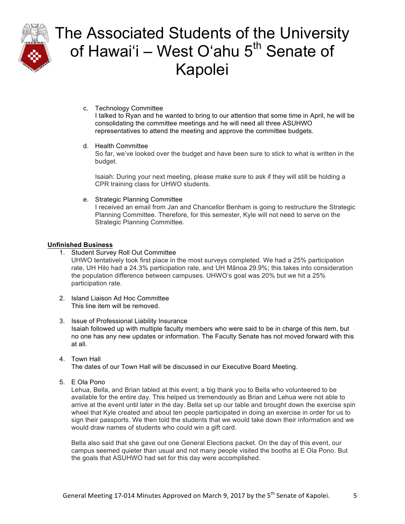

- c. Technology Committee I talked to Ryan and he wanted to bring to our attention that some time in April, he will be consolidating the committee meetings and he will need all three ASUHWO representatives to attend the meeting and approve the committee budgets.
- d. Health Committee

So far, we've looked over the budget and have been sure to stick to what is written in the budget.

Isaiah: During your next meeting, please make sure to ask if they will still be holding a CPR training class for UHWO students.

e. Strategic Planning Committee

I received an email from Jan and Chancellor Benham is going to restructure the Strategic Planning Committee. Therefore, for this semester, Kyle will not need to serve on the Strategic Planning Committee.

# **Unfinished Business**

1. Student Survey Roll Out Committee

UHWO tentatively took first place in the most surveys completed. We had a 25% participation rate, UH Hilo had a 24.3% participation rate, and UH Mānoa 29.9%; this takes into consideration the population difference between campuses. UHWOʻs goal was 20% but we hit a 25% participation rate.

2. Island Liaison Ad Hoc Committee This line item will be removed.

### 3. Issue of Professional Liability Insurance Isaiah followed up with multiple faculty members who were said to be in charge of this item, but no one has any new updates or information. The Faculty Senate has not moved forward with this at all.

4. Town Hall

The dates of our Town Hall will be discussed in our Executive Board Meeting.

5. E Ola Pono

Lehua, Bella, and Brian tabled at this event; a big thank you to Bella who volunteered to be available for the entire day. This helped us tremendously as Brian and Lehua were not able to arrive at the event until later in the day. Bella set up our table and brought down the exercise spin wheel that Kyle created and about ten people participated in doing an exercise in order for us to sign their passports. We then told the students that we would take down their information and we would draw names of students who could win a gift card.

Bella also said that she gave out one General Elections packet. On the day of this event, our campus seemed quieter than usual and not many people visited the booths at E Ola Pono. But the goals that ASUHWO had set for this day were accomplished.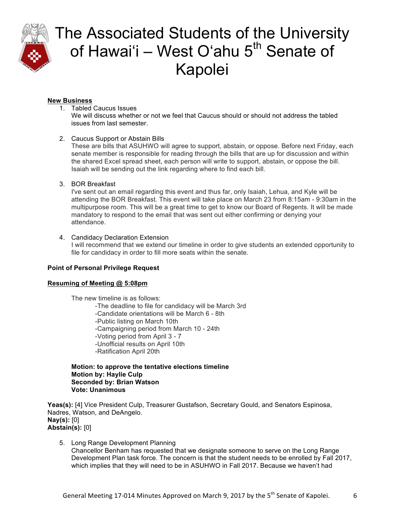

# **New Business**

- 1. Tabled Caucus Issues We will discuss whether or not we feel that Caucus should or should not address the tabled issues from last semester.
- 2. Caucus Support or Abstain Bills

These are bills that ASUHWO will agree to support, abstain, or oppose. Before next Friday, each senate member is responsible for reading through the bills that are up for discussion and within the shared Excel spread sheet, each person will write to support, abstain, or oppose the bill. Isaiah will be sending out the link regarding where to find each bill.

# 3. BOR Breakfast

I've sent out an email regarding this event and thus far, only Isaiah, Lehua, and Kyle will be attending the BOR Breakfast. This event will take place on March 23 from 8:15am - 9:30am in the multipurpose room. This will be a great time to get to know our Board of Regents. It will be made mandatory to respond to the email that was sent out either confirming or denying your attendance.

# 4. Candidacy Declaration Extension

I will recommend that we extend our timeline in order to give students an extended opportunity to file for candidacy in order to fill more seats within the senate.

# **Point of Personal Privilege Request**

# **Resuming of Meeting @ 5:08pm**

The new timeline is as follows: -The deadline to file for candidacy will be March 3rd -Candidate orientations will be March 6 - 8th -Public listing on March 10th -Campaigning period from March 10 - 24th -Voting period from April 3 - 7 -Unofficial results on April 10th -Ratification April 20th

**Motion: to approve the tentative elections timeline Motion by: Haylie Culp Seconded by: Brian Watson Vote: Unanimous**

**Yeas(s):** [4] Vice President Culp, Treasurer Gustafson, Secretary Gould, and Senators Espinosa, Nadres, Watson, and DeAngelo. **Nay(s):** [0] **Abstain(s):** [0]

5. Long Range Development Planning Chancellor Benham has requested that we designate someone to serve on the Long Range Development Plan task force. The concern is that the student needs to be enrolled by Fall 2017, which implies that they will need to be in ASUHWO in Fall 2017. Because we haven't had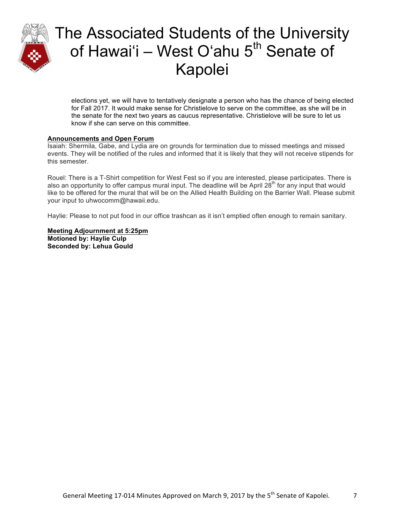

elections yet, we will have to tentatively designate a person who has the chance of being elected for Fall 2017. It would make sense for Christielove to serve on the committee, as she will be in the senate for the next two years as caucus representative. Christielove will be sure to let us know if she can serve on this committee.

### **Announcements and Open Forum**

Isaiah: Shermila, Gabe, and Lydia are on grounds for termination due to missed meetings and missed events. They will be notified of the rules and informed that it is likely that they will not receive stipends for this semester.

Rouel: There is a T-Shirt competition for West Fest so if you are interested, please participates. There is also an opportunity to offer campus mural input. The deadline will be April 28<sup>th</sup> for any input that would like to be offered for the mural that will be on the Allied Health Building on the Barrier Wall. Please submit your input to uhwocomm@hawaii.edu.

Haylie: Please to not put food in our office trashcan as it isn't emptied often enough to remain sanitary.

**Meeting Adjournment at 5:25pm Motioned by: Haylie Culp Seconded by: Lehua Gould**